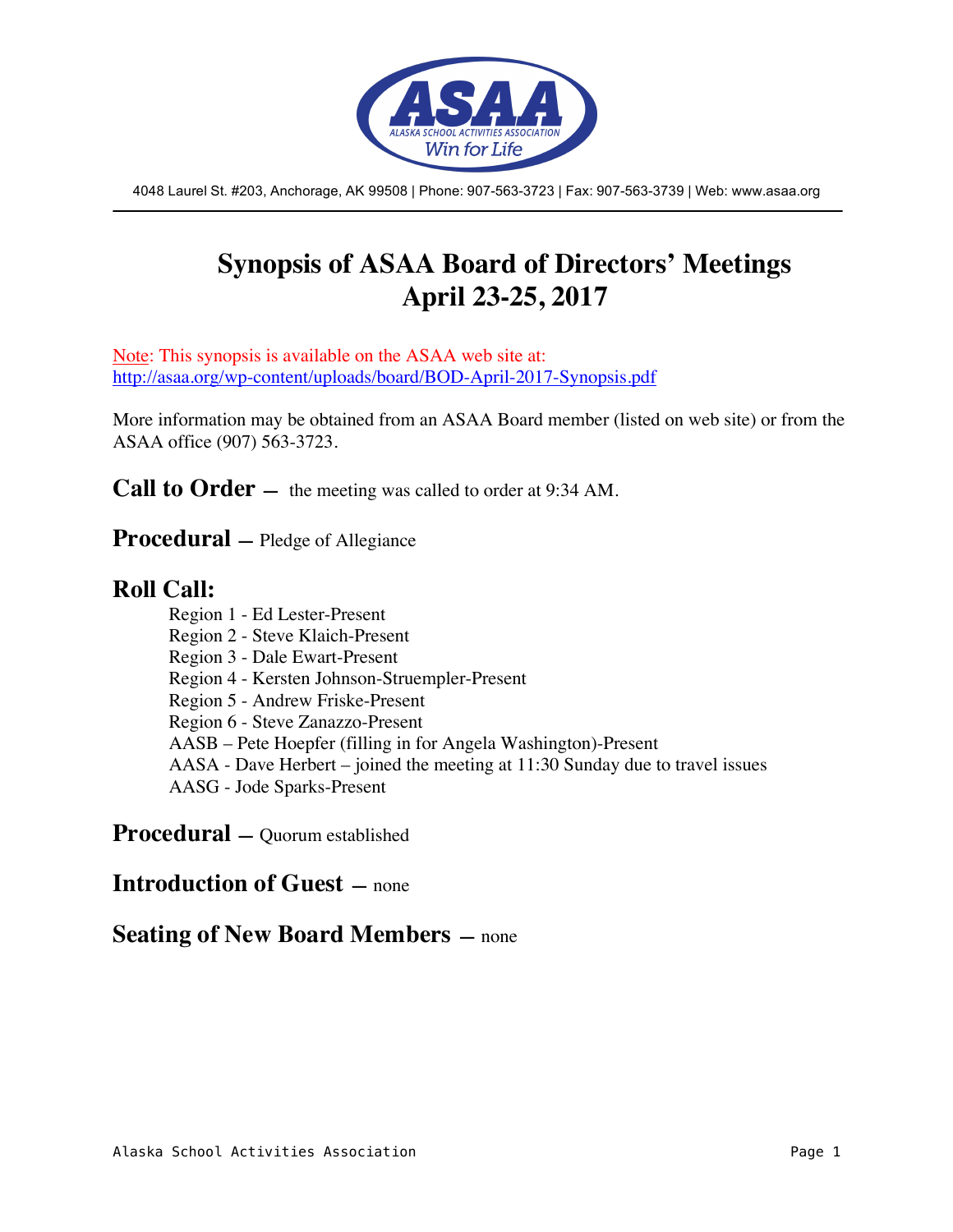

4048 Laurel St. #203, Anchorage, AK 99508 | Phone: 907-563-3723 | Fax: 907-563-3739 | Web: www.asaa.org

# **Synopsis of ASAA Board of Directors' Meetings April 23-25, 2017**

Note: This synopsis is available on the ASAA web site at: http://asaa.org/wp-content/uploads/board/BOD-April-2017-Synopsis.pdf

More information may be obtained from an ASAA Board member (listed on web site) or from the ASAA office (907) 563-3723.

**Call to Order** — the meeting was called to order at 9:34 AM.

**Procedural —** Pledge of Allegiance

### **Roll Call:**

Region 1 - Ed Lester-Present Region 2 - Steve Klaich-Present Region 3 - Dale Ewart-Present Region 4 - Kersten Johnson-Struempler-Present Region 5 - Andrew Friske-Present Region 6 - Steve Zanazzo-Present AASB – Pete Hoepfer (filling in for Angela Washington)-Present AASA - Dave Herbert – joined the meeting at 11:30 Sunday due to travel issues AASG - Jode Sparks-Present

**Procedural —** Quorum established

### **Introduction of Guest —** none

### **Seating of New Board Members —** none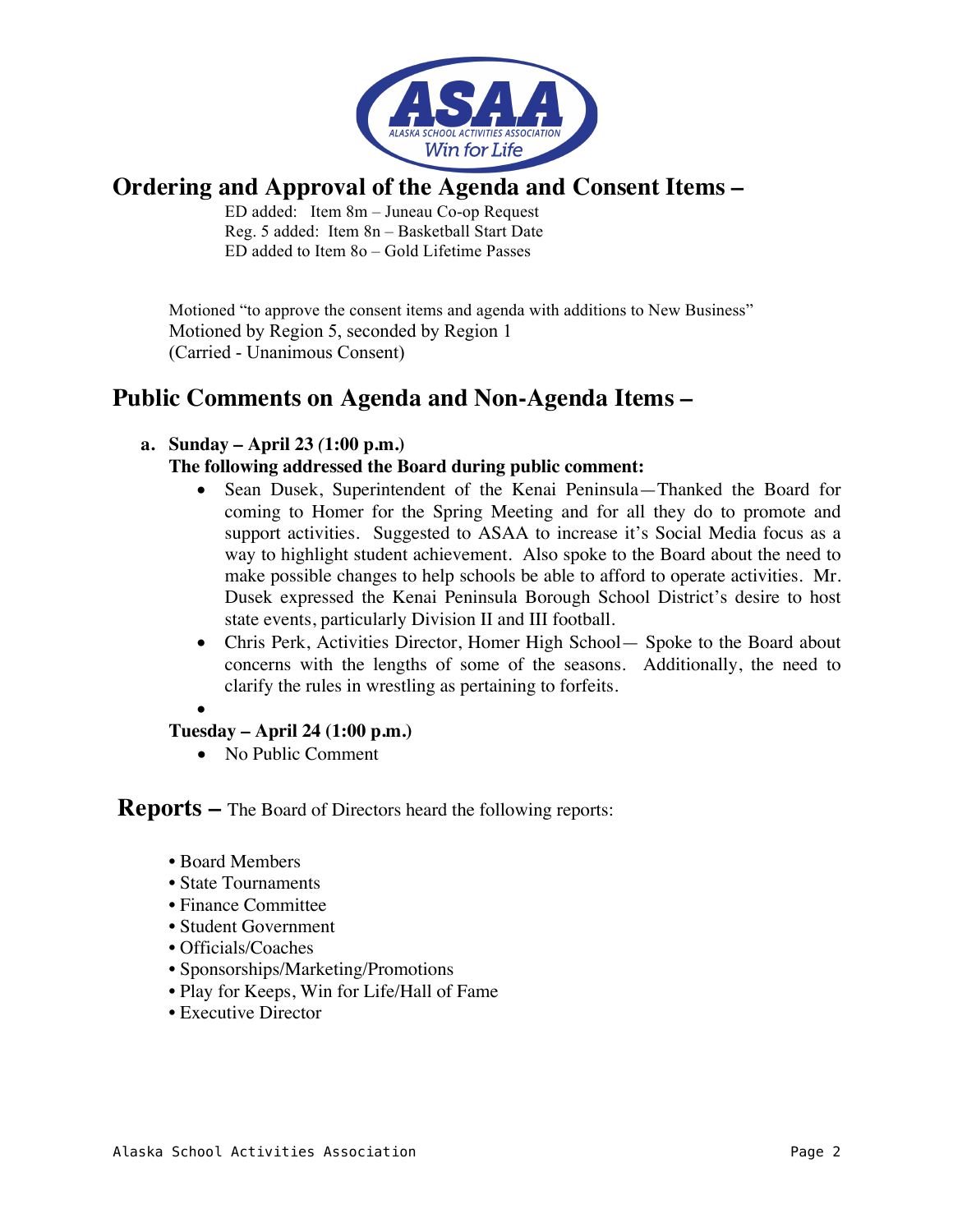

# **Ordering and Approval of the Agenda and Consent Items –**

ED added: Item 8m – Juneau Co-op Request Reg. 5 added: Item 8n – Basketball Start Date ED added to Item 8o – Gold Lifetime Passes

Motioned "to approve the consent items and agenda with additions to New Business" Motioned by Region 5, seconded by Region 1 (Carried - Unanimous Consent)

# **Public Comments on Agenda and Non-Agenda Items –**

### **a. Sunday – April 23** *(***1:00 p.m.)**

### **The following addressed the Board during public comment:**

- Sean Dusek, Superintendent of the Kenai Peninsula—Thanked the Board for coming to Homer for the Spring Meeting and for all they do to promote and support activities. Suggested to ASAA to increase it's Social Media focus as a way to highlight student achievement. Also spoke to the Board about the need to make possible changes to help schools be able to afford to operate activities. Mr. Dusek expressed the Kenai Peninsula Borough School District's desire to host state events, particularly Division II and III football.
- Chris Perk, Activities Director, Homer High School— Spoke to the Board about concerns with the lengths of some of the seasons. Additionally, the need to clarify the rules in wrestling as pertaining to forfeits.

•

### **Tuesday – April 24 (1:00 p.m.)**

• No Public Comment

### **Reports –** The Board of Directors heard the following reports:

- Board Members
- State Tournaments
- Finance Committee
- Student Government
- Officials/Coaches
- Sponsorships/Marketing/Promotions
- Play for Keeps, Win for Life/Hall of Fame
- Executive Director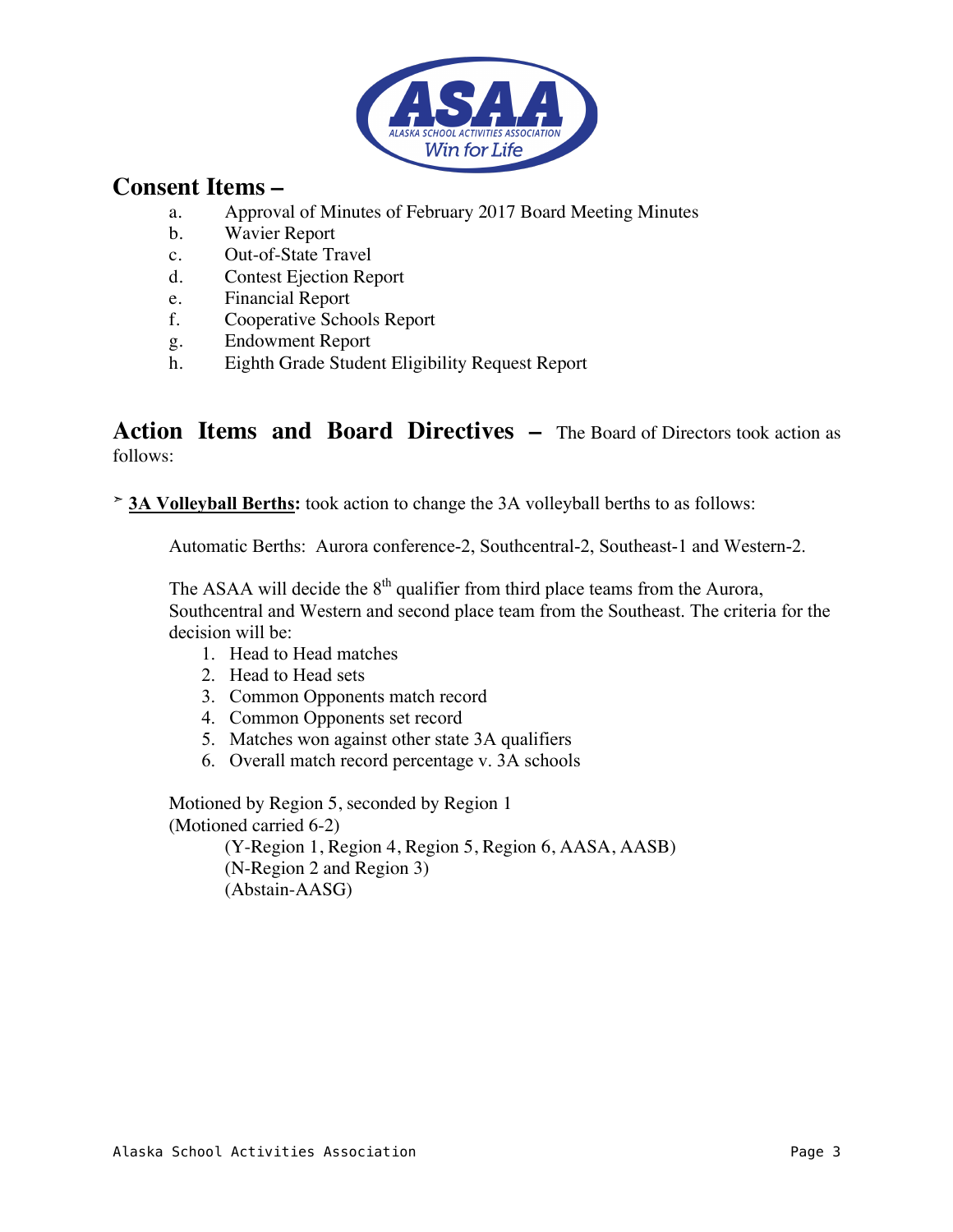

## **Consent Items –**

- a. Approval of Minutes of February 2017 Board Meeting Minutes
- b. Wavier Report
- c. Out-of-State Travel
- d. Contest Ejection Report
- e. Financial Report
- f. Cooperative Schools Report
- g. Endowment Report
- h. Eighth Grade Student Eligibility Request Report

### **Action Items and Board Directives –** The Board of Directors took action as follows:

➣ **3A Volleyball Berths:** took action to change the 3A volleyball berths to as follows:

Automatic Berths: Aurora conference-2, Southcentral-2, Southeast-1 and Western-2.

The ASAA will decide the  $8<sup>th</sup>$  qualifier from third place teams from the Aurora, Southcentral and Western and second place team from the Southeast. The criteria for the decision will be:

- 1. Head to Head matches
- 2. Head to Head sets
- 3. Common Opponents match record
- 4. Common Opponents set record
- 5. Matches won against other state 3A qualifiers
- 6. Overall match record percentage v. 3A schools

Motioned by Region 5, seconded by Region 1 (Motioned carried 6-2)

> (Y-Region 1, Region 4, Region 5, Region 6, AASA, AASB) (N-Region 2 and Region 3) (Abstain-AASG)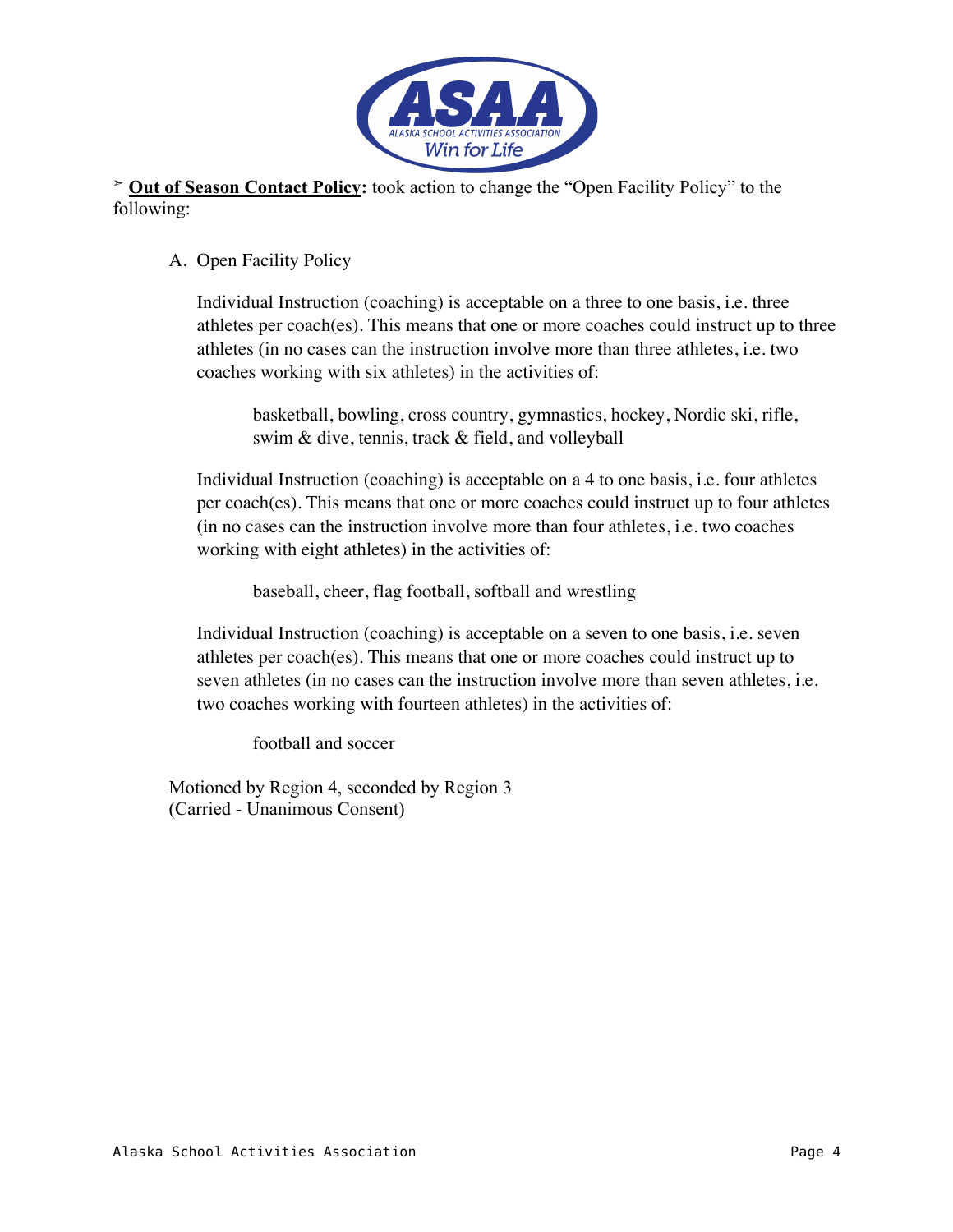

➣ **Out of Season Contact Policy:** took action to change the "Open Facility Policy" to the following:

### A. Open Facility Policy

Individual Instruction (coaching) is acceptable on a three to one basis, i.e. three athletes per coach(es). This means that one or more coaches could instruct up to three athletes (in no cases can the instruction involve more than three athletes, i.e. two coaches working with six athletes) in the activities of:

basketball, bowling, cross country, gymnastics, hockey, Nordic ski, rifle, swim & dive, tennis, track & field, and volleyball

Individual Instruction (coaching) is acceptable on a 4 to one basis, i.e. four athletes per coach(es). This means that one or more coaches could instruct up to four athletes (in no cases can the instruction involve more than four athletes, i.e. two coaches working with eight athletes) in the activities of:

baseball, cheer, flag football, softball and wrestling

Individual Instruction (coaching) is acceptable on a seven to one basis, i.e. seven athletes per coach(es). This means that one or more coaches could instruct up to seven athletes (in no cases can the instruction involve more than seven athletes, i.e. two coaches working with fourteen athletes) in the activities of:

football and soccer

Motioned by Region 4, seconded by Region 3 (Carried - Unanimous Consent)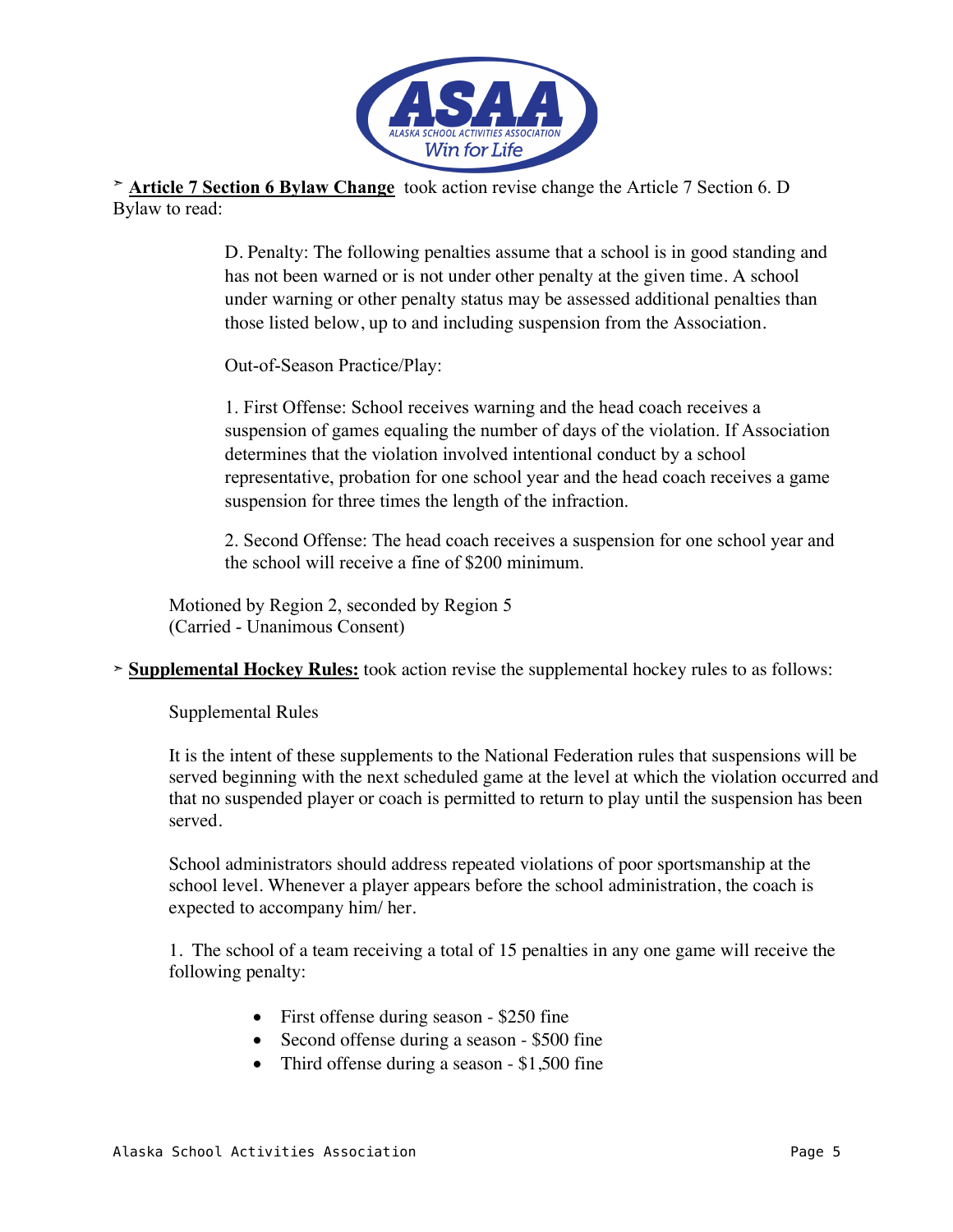

➣ **Article 7 Section 6 Bylaw Change** took action revise change the Article 7 Section 6. D Bylaw to read:

> D. Penalty: The following penalties assume that a school is in good standing and has not been warned or is not under other penalty at the given time. A school under warning or other penalty status may be assessed additional penalties than those listed below, up to and including suspension from the Association.

Out-of-Season Practice/Play:

1. First Offense: School receives warning and the head coach receives a suspension of games equaling the number of days of the violation. If Association determines that the violation involved intentional conduct by a school representative, probation for one school year and the head coach receives a game suspension for three times the length of the infraction.

2. Second Offense: The head coach receives a suspension for one school year and the school will receive a fine of \$200 minimum.

Motioned by Region 2, seconded by Region 5 (Carried - Unanimous Consent)

➣ **Supplemental Hockey Rules:** took action revise the supplemental hockey rules to as follows:

Supplemental Rules

It is the intent of these supplements to the National Federation rules that suspensions will be served beginning with the next scheduled game at the level at which the violation occurred and that no suspended player or coach is permitted to return to play until the suspension has been served.

School administrators should address repeated violations of poor sportsmanship at the school level. Whenever a player appears before the school administration, the coach is expected to accompany him/ her.

1. The school of a team receiving a total of 15 penalties in any one game will receive the following penalty:

- First offense during season \$250 fine
- Second offense during a season \$500 fine
- Third offense during a season \$1,500 fine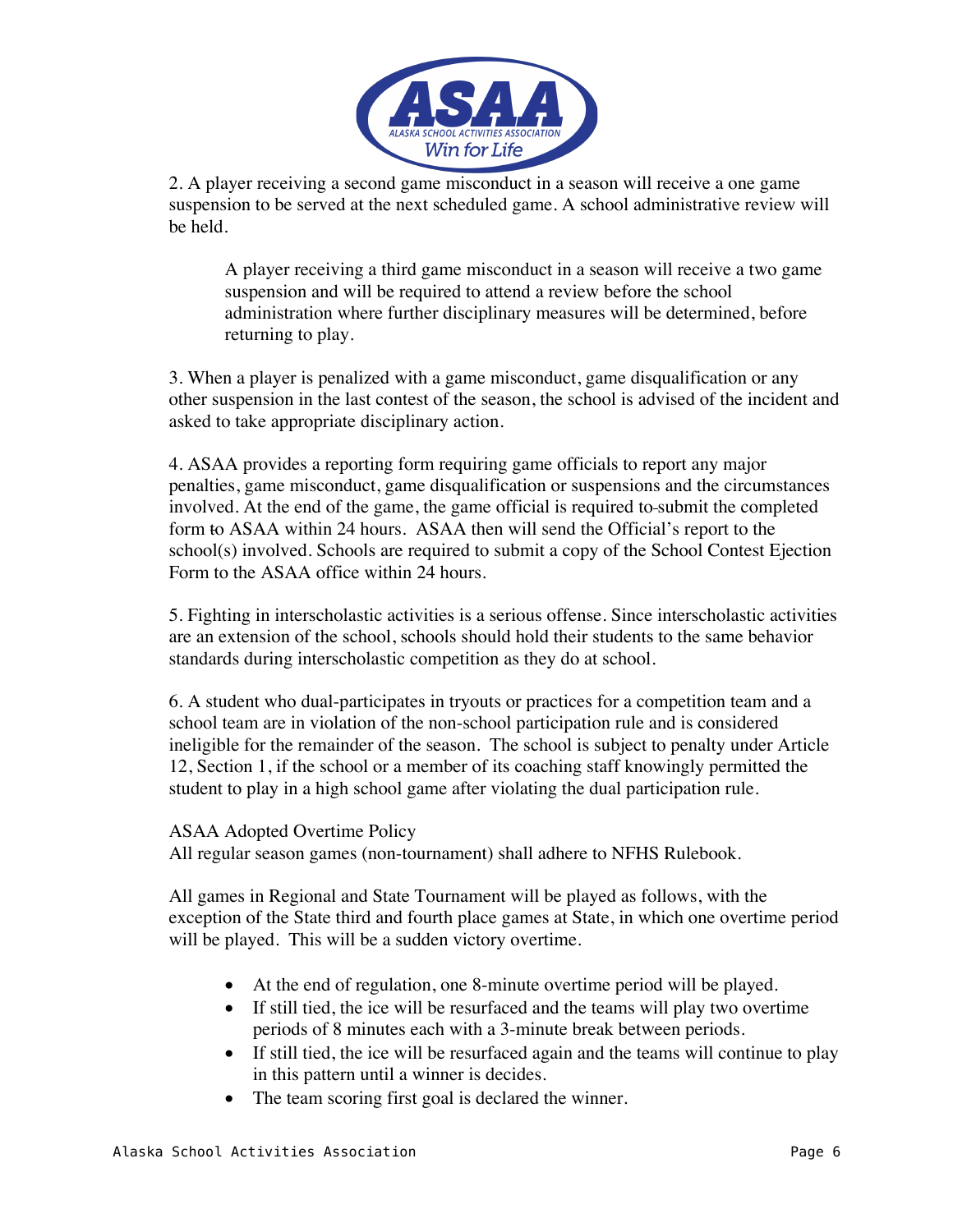

2. A player receiving a second game misconduct in a season will receive a one game suspension to be served at the next scheduled game. A school administrative review will be held.

A player receiving a third game misconduct in a season will receive a two game suspension and will be required to attend a review before the school administration where further disciplinary measures will be determined, before returning to play.

3. When a player is penalized with a game misconduct, game disqualification or any other suspension in the last contest of the season, the school is advised of the incident and asked to take appropriate disciplinary action.

4. ASAA provides a reporting form requiring game officials to report any major penalties, game misconduct, game disqualification or suspensions and the circumstances involved. At the end of the game, the game official is required to submit the completed form to ASAA within 24 hours. ASAA then will send the Official's report to the  $school(s)$  involved. Schools are required to submit a copy of the School Contest Ejection Form to the ASAA office within 24 hours.

5. Fighting in interscholastic activities is a serious offense. Since interscholastic activities are an extension of the school, schools should hold their students to the same behavior standards during interscholastic competition as they do at school.

6. A student who dual-participates in tryouts or practices for a competition team and a school team are in violation of the non-school participation rule and is considered ineligible for the remainder of the season. The school is subject to penalty under Article 12, Section 1, if the school or a member of its coaching staff knowingly permitted the student to play in a high school game after violating the dual participation rule.

#### ASAA Adopted Overtime Policy

All regular season games (non-tournament) shall adhere to NFHS Rulebook.

All games in Regional and State Tournament will be played as follows, with the exception of the State third and fourth place games at State, in which one overtime period will be played. This will be a sudden victory overtime.

- At the end of regulation, one 8-minute overtime period will be played.
- If still tied, the ice will be resurfaced and the teams will play two overtime periods of 8 minutes each with a 3-minute break between periods.
- If still tied, the ice will be resurfaced again and the teams will continue to play in this pattern until a winner is decides.
- The team scoring first goal is declared the winner.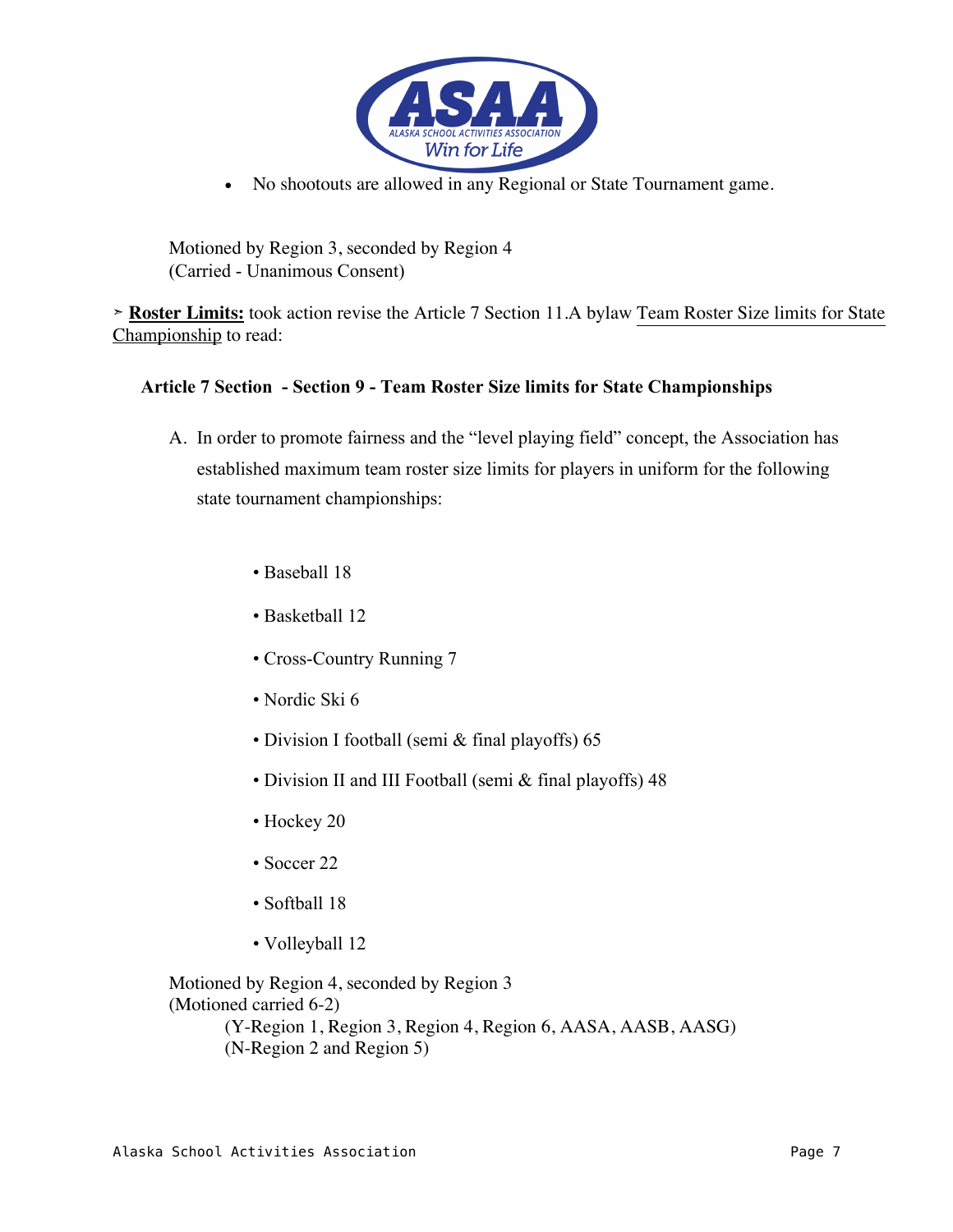

• No shootouts are allowed in any Regional or State Tournament game.

Motioned by Region 3, seconded by Region 4 (Carried - Unanimous Consent)

➣ **Roster Limits:** took action revise the Article 7 Section 11.A bylaw Team Roster Size limits for State Championship to read:

#### **Article 7 Section - Section 9 - Team Roster Size limits for State Championships**

- A. In order to promote fairness and the "level playing field" concept, the Association has established maximum team roster size limits for players in uniform for the following state tournament championships:
	- Baseball 18
	- Basketball 12
	- Cross-Country Running 7
	- Nordic Ski 6
	- Division I football (semi & final playoffs) 65
	- Division II and III Football (semi & final playoffs) 48
	- Hockey 20
	- Soccer 22
	- Softball 18
	- Volleyball 12

Motioned by Region 4, seconded by Region 3 (Motioned carried 6-2) (Y-Region 1, Region 3, Region 4, Region 6, AASA, AASB, AASG) (N-Region 2 and Region 5)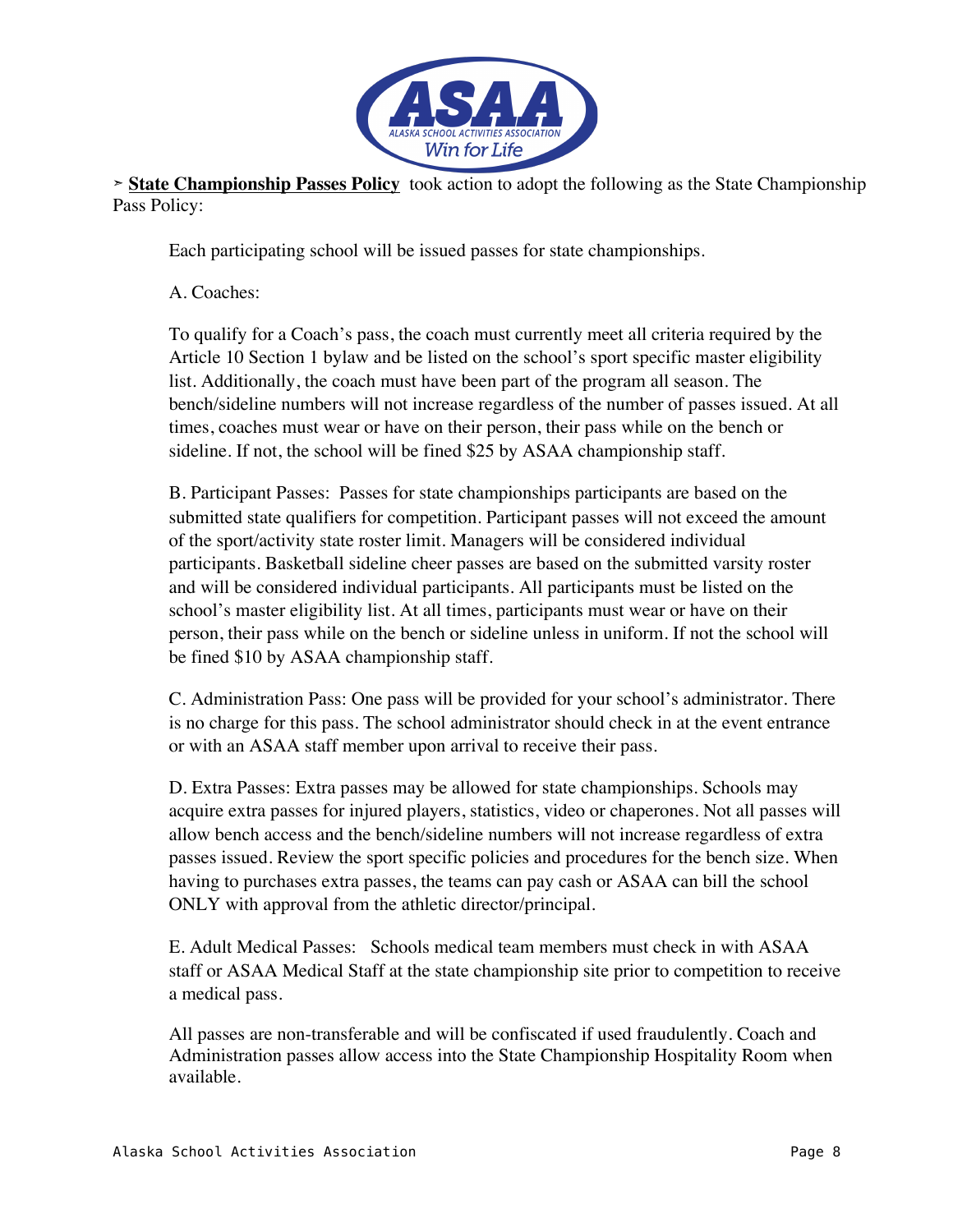

**➣ State Championship Passes Policy** took action to adopt the following as the State Championship Pass Policy:

Each participating school will be issued passes for state championships.

A. Coaches:

To qualify for a Coach's pass, the coach must currently meet all criteria required by the Article 10 Section 1 bylaw and be listed on the school's sport specific master eligibility list. Additionally, the coach must have been part of the program all season. The bench/sideline numbers will not increase regardless of the number of passes issued. At all times, coaches must wear or have on their person, their pass while on the bench or sideline. If not, the school will be fined \$25 by ASAA championship staff.

B. Participant Passes: Passes for state championships participants are based on the submitted state qualifiers for competition. Participant passes will not exceed the amount of the sport/activity state roster limit. Managers will be considered individual participants. Basketball sideline cheer passes are based on the submitted varsity roster and will be considered individual participants. All participants must be listed on the school's master eligibility list. At all times, participants must wear or have on their person, their pass while on the bench or sideline unless in uniform. If not the school will be fined \$10 by ASAA championship staff.

C. Administration Pass: One pass will be provided for your school's administrator. There is no charge for this pass. The school administrator should check in at the event entrance or with an ASAA staff member upon arrival to receive their pass.

D. Extra Passes: Extra passes may be allowed for state championships. Schools may acquire extra passes for injured players, statistics, video or chaperones. Not all passes will allow bench access and the bench/sideline numbers will not increase regardless of extra passes issued. Review the sport specific policies and procedures for the bench size. When having to purchases extra passes, the teams can pay cash or ASAA can bill the school ONLY with approval from the athletic director/principal.

E. Adult Medical Passes: Schools medical team members must check in with ASAA staff or ASAA Medical Staff at the state championship site prior to competition to receive a medical pass.

All passes are non-transferable and will be confiscated if used fraudulently. Coach and Administration passes allow access into the State Championship Hospitality Room when available.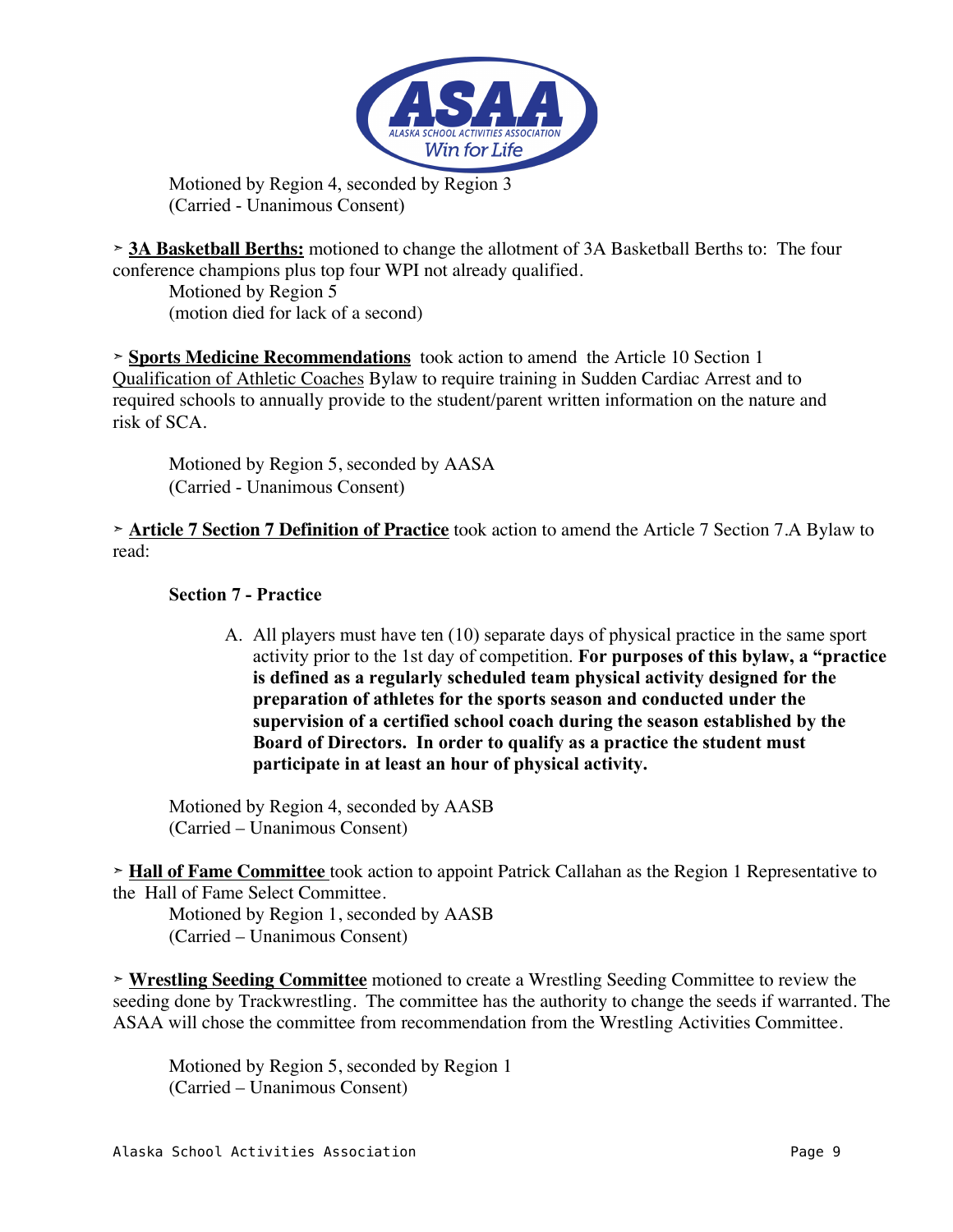

Motioned by Region 4, seconded by Region 3 (Carried - Unanimous Consent)

➣ **3A Basketball Berths:** motioned to change the allotment of 3A Basketball Berths to: The four conference champions plus top four WPI not already qualified.

Motioned by Region 5 (motion died for lack of a second)

➣ **Sports Medicine Recommendations** took action to amend the Article 10 Section 1 Qualification of Athletic Coaches Bylaw to require training in Sudden Cardiac Arrest and to required schools to annually provide to the student/parent written information on the nature and risk of SCA.

Motioned by Region 5, seconded by AASA (Carried - Unanimous Consent)

➣ **Article 7 Section 7 Definition of Practice** took action to amend the Article 7 Section 7.A Bylaw to read:

### **Section 7 - Practice**

A. All players must have ten (10) separate days of physical practice in the same sport activity prior to the 1st day of competition. **For purposes of this bylaw, a "practice is defined as a regularly scheduled team physical activity designed for the preparation of athletes for the sports season and conducted under the supervision of a certified school coach during the season established by the Board of Directors. In order to qualify as a practice the student must participate in at least an hour of physical activity.**

Motioned by Region 4, seconded by AASB (Carried – Unanimous Consent)

➣ **Hall of Fame Committee** took action to appoint Patrick Callahan as the Region 1 Representative to the Hall of Fame Select Committee.

Motioned by Region 1, seconded by AASB (Carried – Unanimous Consent)

➣ **Wrestling Seeding Committee** motioned to create a Wrestling Seeding Committee to review the seeding done by Trackwrestling. The committee has the authority to change the seeds if warranted. The ASAA will chose the committee from recommendation from the Wrestling Activities Committee.

Motioned by Region 5, seconded by Region 1 (Carried – Unanimous Consent)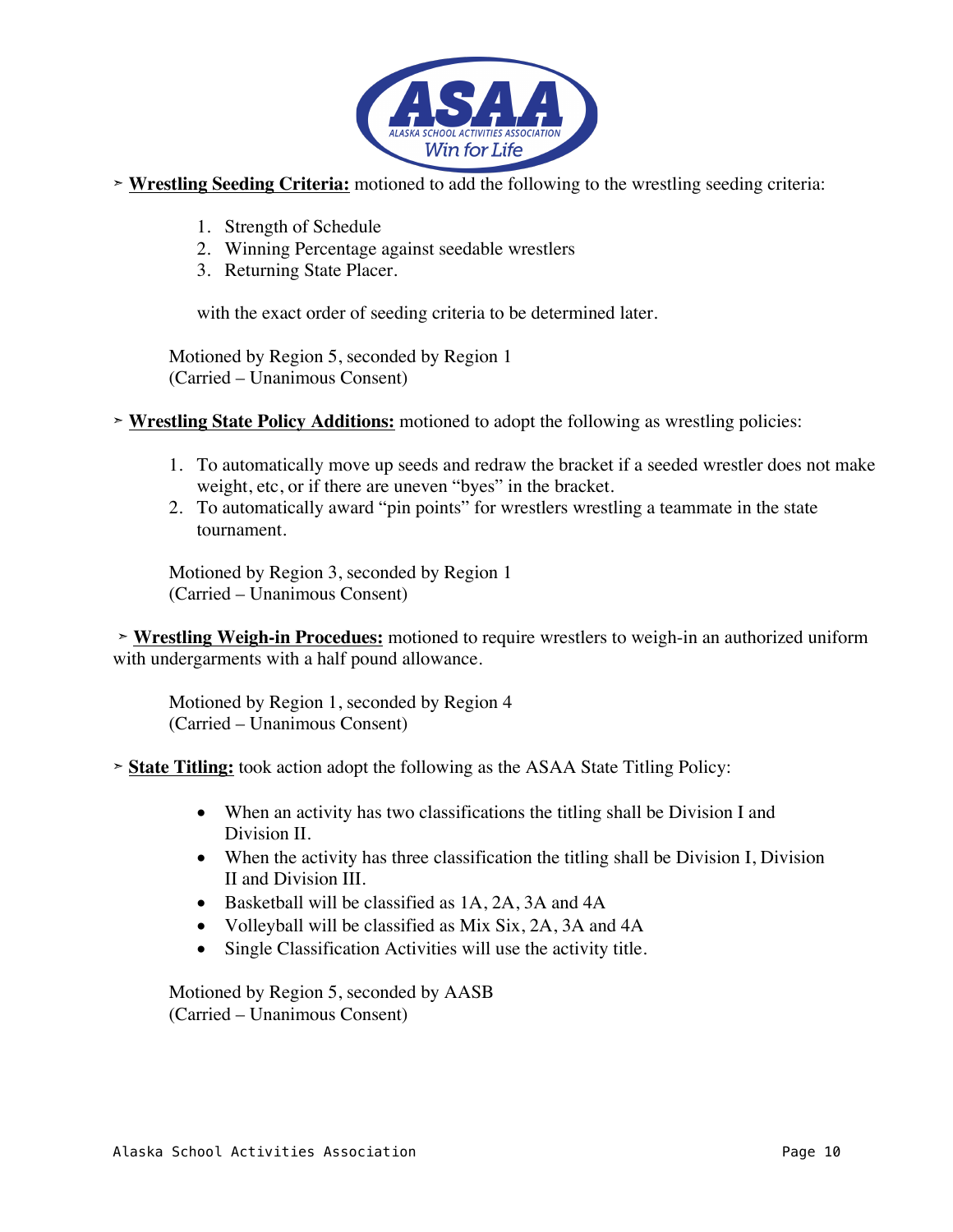

- ➣ **Wrestling Seeding Criteria:** motioned to add the following to the wrestling seeding criteria:
	- 1. Strength of Schedule
	- 2. Winning Percentage against seedable wrestlers
	- 3. Returning State Placer.

with the exact order of seeding criteria to be determined later.

Motioned by Region 5, seconded by Region 1 (Carried – Unanimous Consent)

- ➣ **Wrestling State Policy Additions:** motioned to adopt the following as wrestling policies:
	- 1. To automatically move up seeds and redraw the bracket if a seeded wrestler does not make weight, etc, or if there are uneven "byes" in the bracket.
	- 2. To automatically award "pin points" for wrestlers wrestling a teammate in the state tournament.

Motioned by Region 3, seconded by Region 1 (Carried – Unanimous Consent)

➣ **Wrestling Weigh-in Procedues:** motioned to require wrestlers to weigh-in an authorized uniform with undergarments with a half pound allowance.

Motioned by Region 1, seconded by Region 4 (Carried – Unanimous Consent)

➣ **State Titling:** took action adopt the following as the ASAA State Titling Policy:

- When an activity has two classifications the titling shall be Division I and Division II.
- When the activity has three classification the titling shall be Division I, Division II and Division III.
- Basketball will be classified as 1A, 2A, 3A and 4A
- Volleyball will be classified as Mix Six, 2A, 3A and 4A
- Single Classification Activities will use the activity title.

Motioned by Region 5, seconded by AASB (Carried – Unanimous Consent)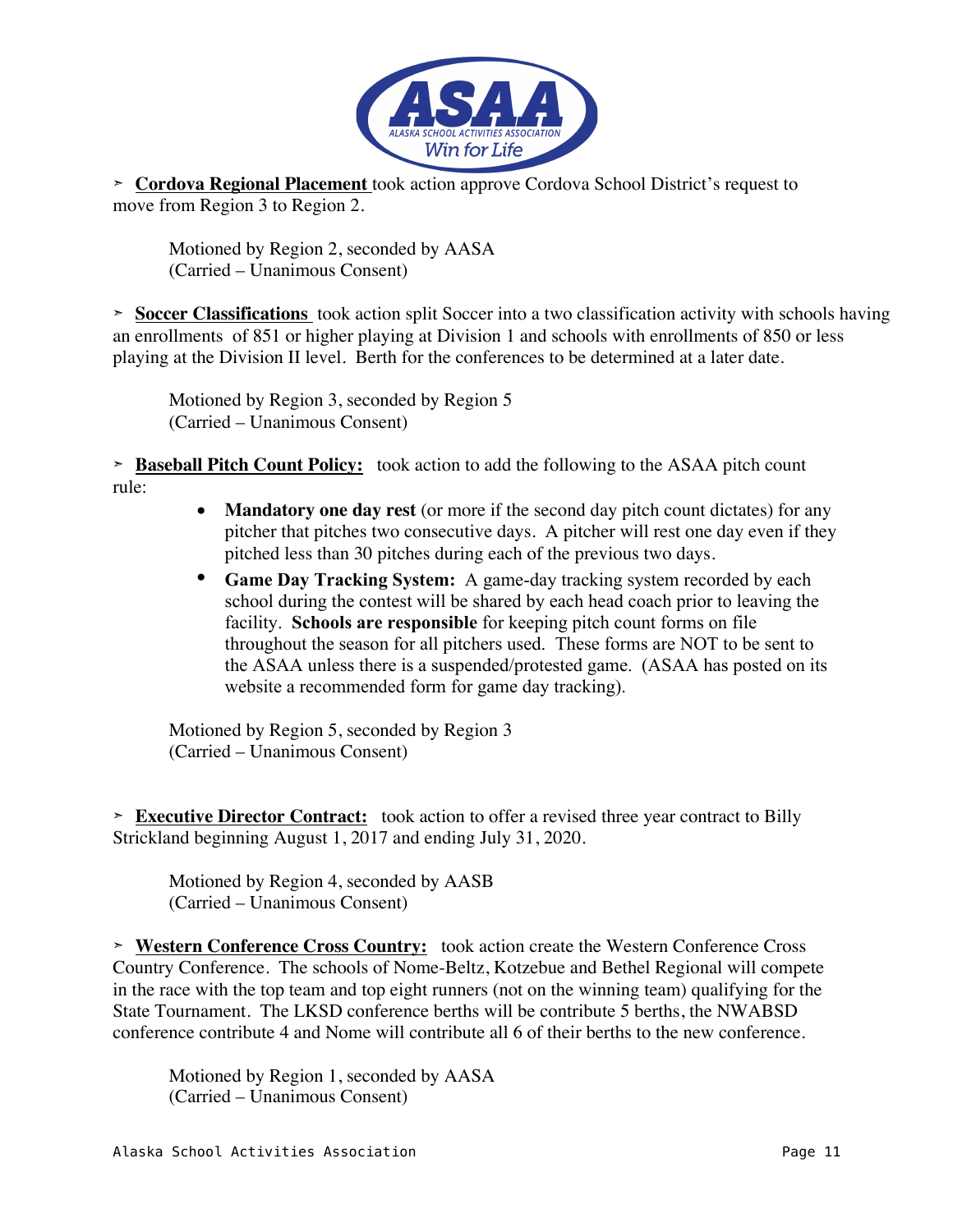

➣ **Cordova Regional Placement** took action approve Cordova School District's request to move from Region 3 to Region 2.

Motioned by Region 2, seconded by AASA (Carried – Unanimous Consent)

➣ **Soccer Classifications** took action split Soccer into a two classification activity with schools having an enrollments of 851 or higher playing at Division 1 and schools with enrollments of 850 or less playing at the Division II level. Berth for the conferences to be determined at a later date.

Motioned by Region 3, seconded by Region 5 (Carried – Unanimous Consent)

➣ **Baseball Pitch Count Policy:** took action to add the following to the ASAA pitch count rule:

- **Mandatory one day rest** (or more if the second day pitch count dictates) for any pitcher that pitches two consecutive days. A pitcher will rest one day even if they pitched less than 30 pitches during each of the previous two days.
- **Game Day Tracking System:** A game-day tracking system recorded by each school during the contest will be shared by each head coach prior to leaving the facility. **Schools are responsible** for keeping pitch count forms on file throughout the season for all pitchers used. These forms are NOT to be sent to the ASAA unless there is a suspended/protested game. (ASAA has posted on its website a recommended form for game day tracking).

Motioned by Region 5, seconded by Region 3 (Carried – Unanimous Consent)

➣ **Executive Director Contract:** took action to offer a revised three year contract to Billy Strickland beginning August 1, 2017 and ending July 31, 2020.

Motioned by Region 4, seconded by AASB (Carried – Unanimous Consent)

➣ **Western Conference Cross Country:** took action create the Western Conference Cross Country Conference. The schools of Nome-Beltz, Kotzebue and Bethel Regional will compete in the race with the top team and top eight runners (not on the winning team) qualifying for the State Tournament. The LKSD conference berths will be contribute 5 berths, the NWABSD conference contribute 4 and Nome will contribute all 6 of their berths to the new conference.

Motioned by Region 1, seconded by AASA (Carried – Unanimous Consent)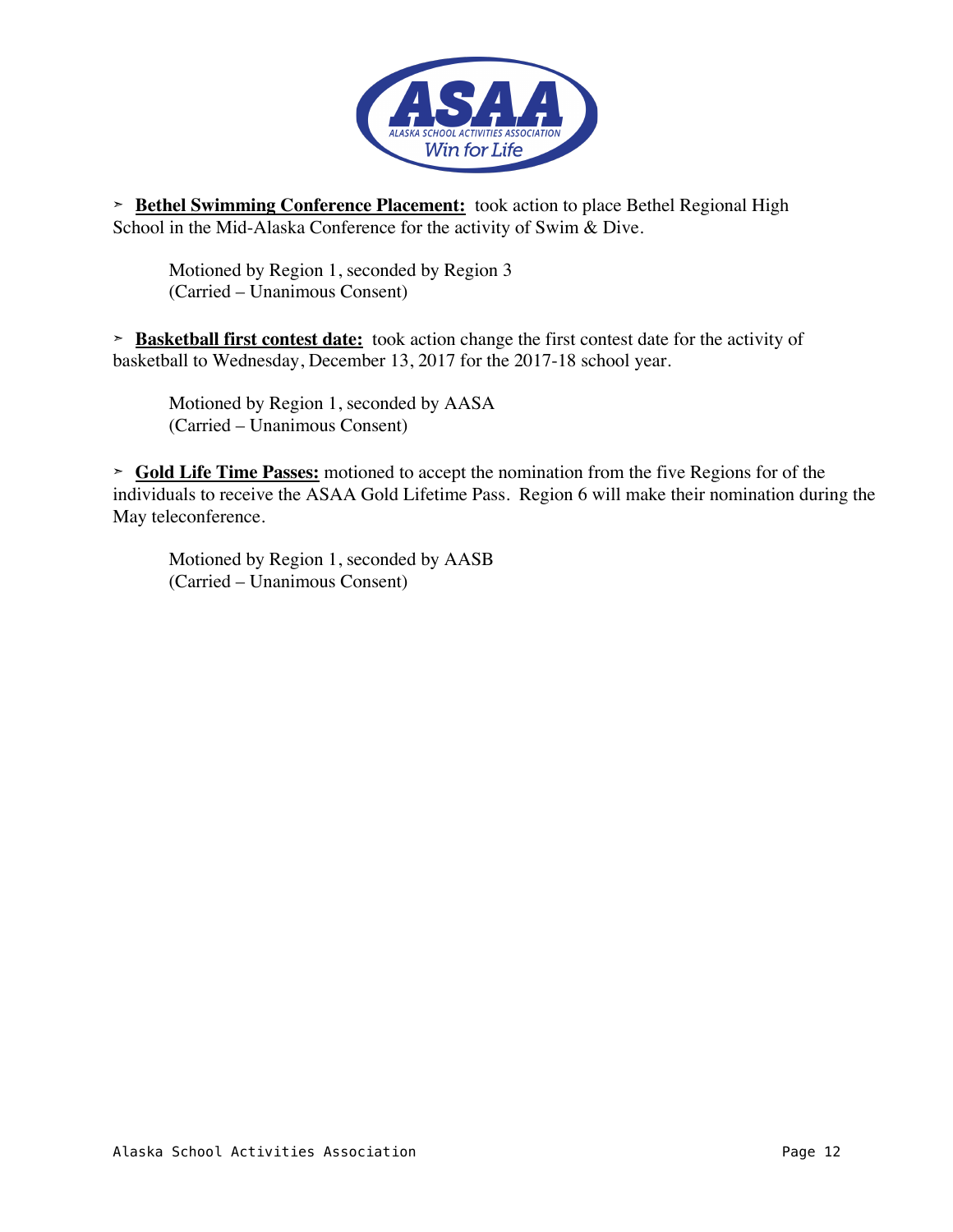

➣ **Bethel Swimming Conference Placement:** took action to place Bethel Regional High School in the Mid-Alaska Conference for the activity of Swim & Dive.

Motioned by Region 1, seconded by Region 3 (Carried – Unanimous Consent)

➣ **Basketball first contest date:** took action change the first contest date for the activity of basketball to Wednesday, December 13, 2017 for the 2017-18 school year.

Motioned by Region 1, seconded by AASA (Carried – Unanimous Consent)

➣ **Gold Life Time Passes:** motioned to accept the nomination from the five Regions for of the individuals to receive the ASAA Gold Lifetime Pass. Region 6 will make their nomination during the May teleconference.

Motioned by Region 1, seconded by AASB (Carried – Unanimous Consent)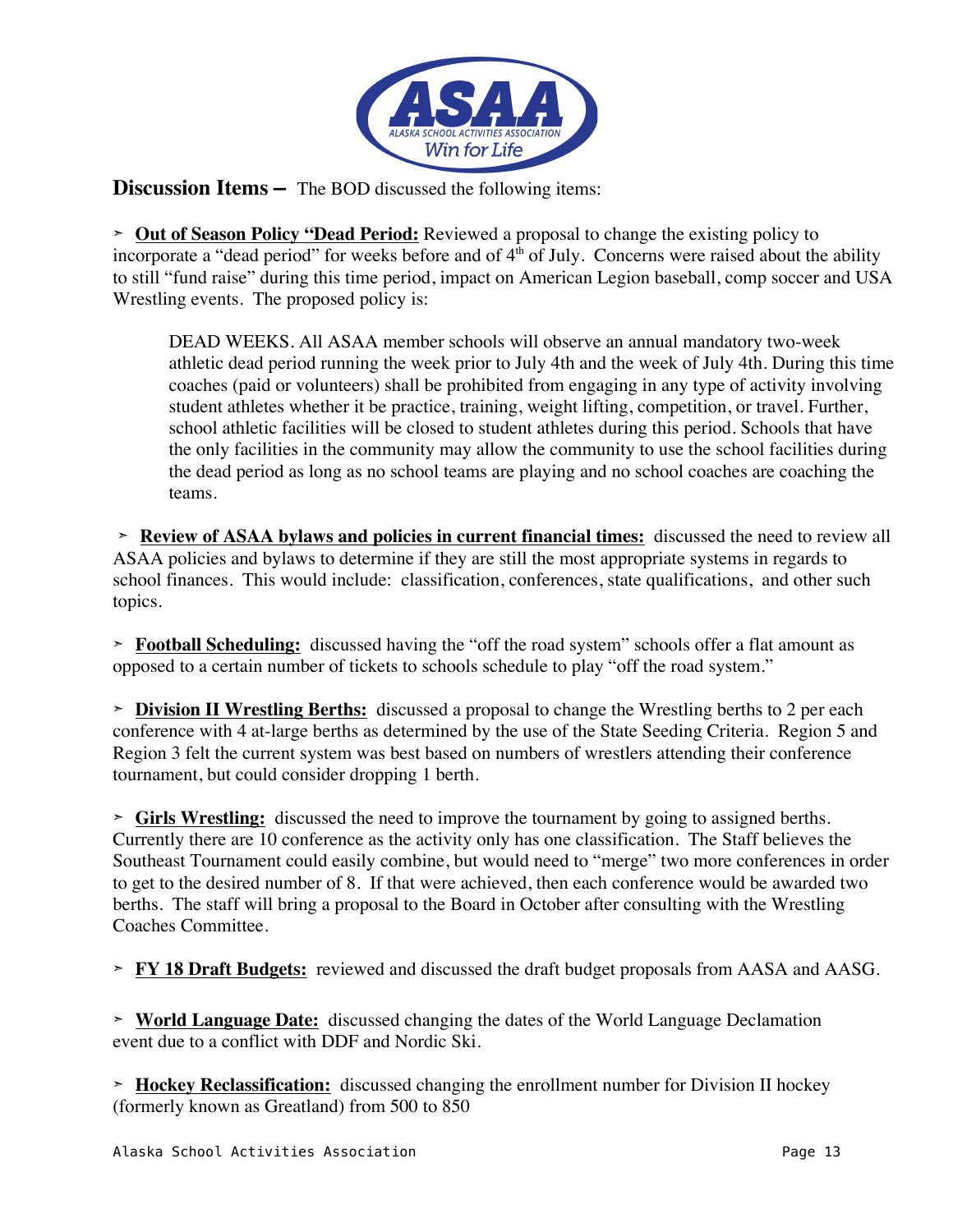

**Discussion Items –** The BOD discussed the following items:

➣ **Out of Season Policy "Dead Period:** Reviewed a proposal to change the existing policy to incorporate a "dead period" for weeks before and of  $4<sup>th</sup>$  of July. Concerns were raised about the ability to still "fund raise" during this time period, impact on American Legion baseball, comp soccer and USA Wrestling events. The proposed policy is:

DEAD WEEKS. All ASAA member schools will observe an annual mandatory two-week athletic dead period running the week prior to July 4th and the week of July 4th. During this time coaches (paid or volunteers) shall be prohibited from engaging in any type of activity involving student athletes whether it be practice, training, weight lifting, competition, or travel. Further, school athletic facilities will be closed to student athletes during this period. Schools that have the only facilities in the community may allow the community to use the school facilities during the dead period as long as no school teams are playing and no school coaches are coaching the teams.

➣ **Review of ASAA bylaws and policies in current financial times:** discussed the need to review all ASAA policies and bylaws to determine if they are still the most appropriate systems in regards to school finances. This would include: classification, conferences, state qualifications, and other such topics.

➣ **Football Scheduling:** discussed having the "off the road system" schools offer a flat amount as opposed to a certain number of tickets to schools schedule to play "off the road system."

➣ **Division II Wrestling Berths:** discussed a proposal to change the Wrestling berths to 2 per each conference with 4 at-large berths as determined by the use of the State Seeding Criteria. Region 5 and Region 3 felt the current system was best based on numbers of wrestlers attending their conference tournament, but could consider dropping 1 berth.

➣ **Girls Wrestling:** discussed the need to improve the tournament by going to assigned berths. Currently there are 10 conference as the activity only has one classification. The Staff believes the Southeast Tournament could easily combine, but would need to "merge" two more conferences in order to get to the desired number of 8. If that were achieved, then each conference would be awarded two berths. The staff will bring a proposal to the Board in October after consulting with the Wrestling Coaches Committee.

➣ **FY 18 Draft Budgets:** reviewed and discussed the draft budget proposals from AASA and AASG.

➣ **World Language Date:** discussed changing the dates of the World Language Declamation event due to a conflict with DDF and Nordic Ski.

➣ **Hockey Reclassification:** discussed changing the enrollment number for Division II hockey (formerly known as Greatland) from 500 to 850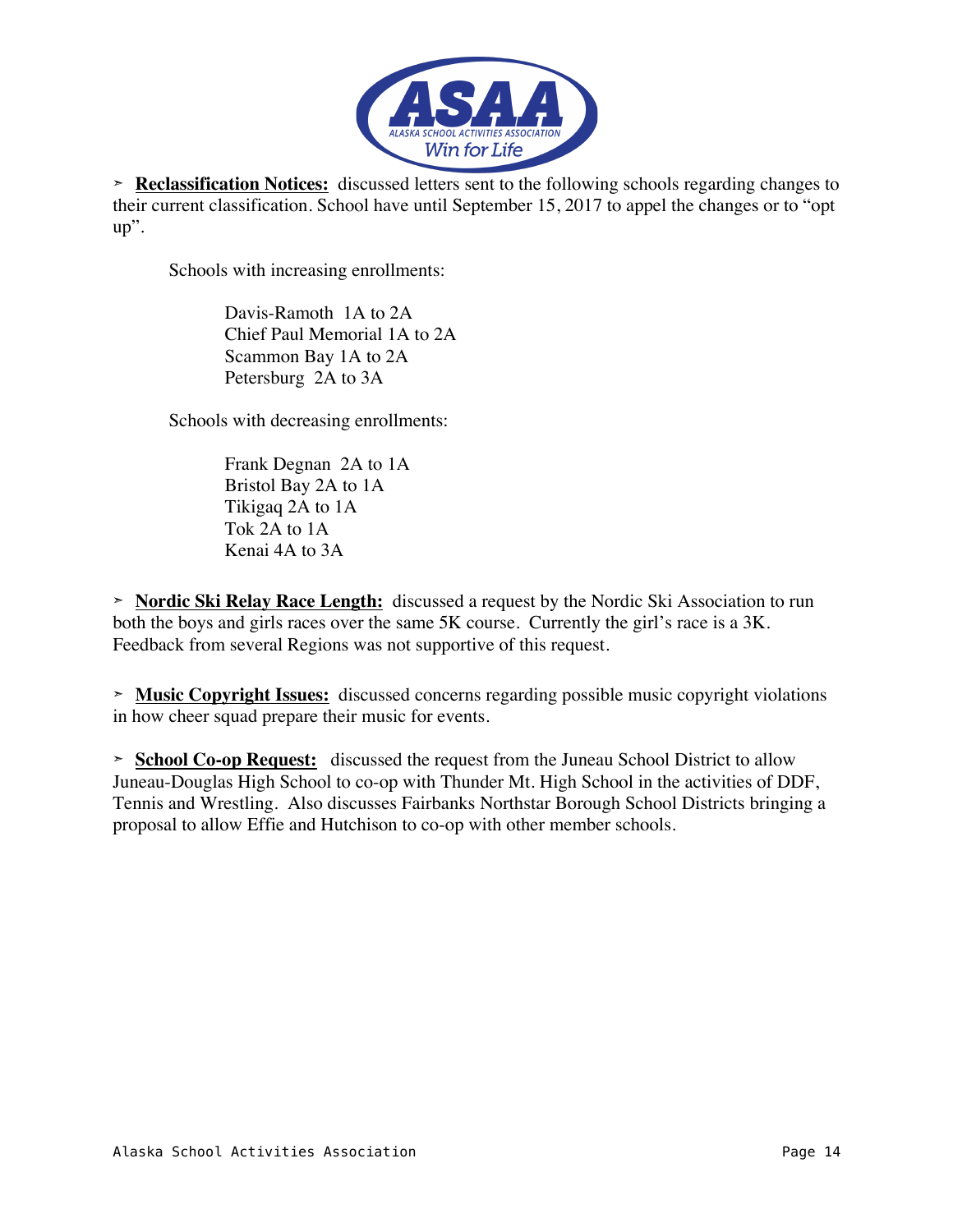

➣ **Reclassification Notices:** discussed letters sent to the following schools regarding changes to their current classification. School have until September 15, 2017 to appel the changes or to "opt up".

Schools with increasing enrollments:

Davis-Ramoth 1A to 2A Chief Paul Memorial 1A to 2A Scammon Bay 1A to 2A Petersburg 2A to 3A

Schools with decreasing enrollments:

Frank Degnan 2A to 1A Bristol Bay 2A to 1A Tikigaq 2A to 1A Tok 2A to 1A Kenai 4A to 3A

➣ **Nordic Ski Relay Race Length:** discussed a request by the Nordic Ski Association to run both the boys and girls races over the same 5K course. Currently the girl's race is a 3K. Feedback from several Regions was not supportive of this request.

➣ **Music Copyright Issues:** discussed concerns regarding possible music copyright violations in how cheer squad prepare their music for events.

➣ **School Co-op Request:** discussed the request from the Juneau School District to allow Juneau-Douglas High School to co-op with Thunder Mt. High School in the activities of DDF, Tennis and Wrestling. Also discusses Fairbanks Northstar Borough School Districts bringing a proposal to allow Effie and Hutchison to co-op with other member schools.